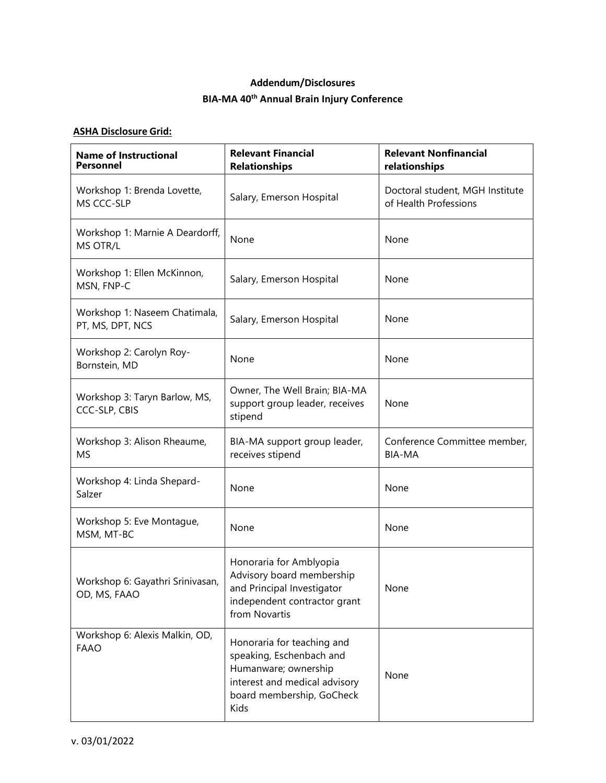## **Addendum/Disclosures BIA-MA 40th Annual Brain Injury Conference**

## **ASHA Disclosure Grid:**

| <b>Name of Instructional</b><br><b>Personnel</b>  | <b>Relevant Financial</b><br><b>Relationships</b>                                                                                                    | <b>Relevant Nonfinancial</b><br>relationships            |
|---------------------------------------------------|------------------------------------------------------------------------------------------------------------------------------------------------------|----------------------------------------------------------|
| Workshop 1: Brenda Lovette,<br>MS CCC-SLP         | Salary, Emerson Hospital                                                                                                                             | Doctoral student, MGH Institute<br>of Health Professions |
| Workshop 1: Marnie A Deardorff,<br>MS OTR/L       | None                                                                                                                                                 | None                                                     |
| Workshop 1: Ellen McKinnon,<br>MSN, FNP-C         | Salary, Emerson Hospital                                                                                                                             | None                                                     |
| Workshop 1: Naseem Chatimala,<br>PT, MS, DPT, NCS | Salary, Emerson Hospital                                                                                                                             | None                                                     |
| Workshop 2: Carolyn Roy-<br>Bornstein, MD         | None                                                                                                                                                 | None                                                     |
| Workshop 3: Taryn Barlow, MS,<br>CCC-SLP, CBIS    | Owner, The Well Brain; BIA-MA<br>support group leader, receives<br>stipend                                                                           | None                                                     |
| Workshop 3: Alison Rheaume,<br><b>MS</b>          | BIA-MA support group leader,<br>receives stipend                                                                                                     | Conference Committee member,<br><b>BIA-MA</b>            |
| Workshop 4: Linda Shepard-<br>Salzer              | None                                                                                                                                                 | None                                                     |
| Workshop 5: Eve Montague,<br>MSM, MT-BC           | None                                                                                                                                                 | None                                                     |
| Workshop 6: Gayathri Srinivasan,<br>OD, MS, FAAO  | Honoraria for Amblyopia<br>Advisory board membership<br>and Principal Investigator<br>independent contractor grant<br>from Novartis                  | None                                                     |
| Workshop 6: Alexis Malkin, OD,<br><b>FAAO</b>     | Honoraria for teaching and<br>speaking, Eschenbach and<br>Humanware; ownership<br>interest and medical advisory<br>board membership, GoCheck<br>Kids | None                                                     |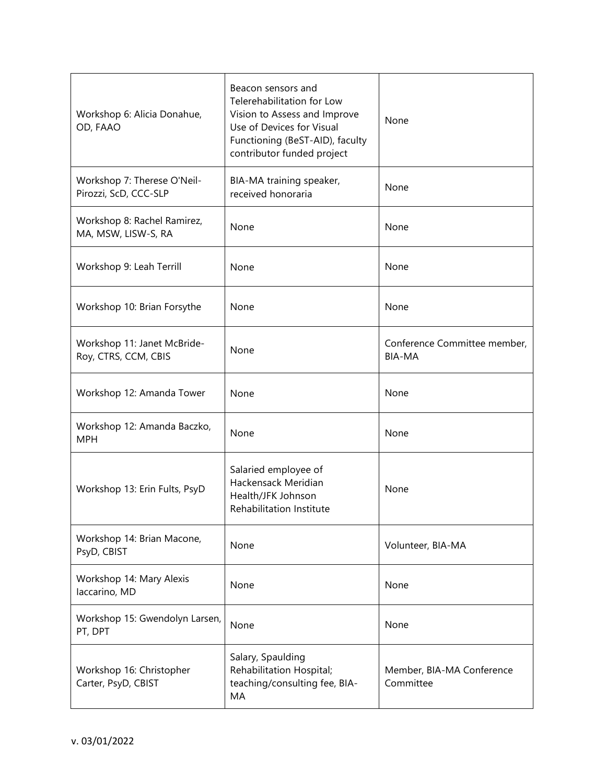| Workshop 6: Alicia Donahue,<br>OD, FAAO              | Beacon sensors and<br>Telerehabilitation for Low<br>Vision to Assess and Improve<br>Use of Devices for Visual<br>Functioning (BeST-AID), faculty<br>contributor funded project | None                                          |
|------------------------------------------------------|--------------------------------------------------------------------------------------------------------------------------------------------------------------------------------|-----------------------------------------------|
| Workshop 7: Therese O'Neil-<br>Pirozzi, ScD, CCC-SLP | BIA-MA training speaker,<br>received honoraria                                                                                                                                 | None                                          |
| Workshop 8: Rachel Ramirez,<br>MA, MSW, LISW-S, RA   | None                                                                                                                                                                           | None                                          |
| Workshop 9: Leah Terrill                             | None                                                                                                                                                                           | None                                          |
| Workshop 10: Brian Forsythe                          | None                                                                                                                                                                           | None                                          |
| Workshop 11: Janet McBride-<br>Roy, CTRS, CCM, CBIS  | None                                                                                                                                                                           | Conference Committee member,<br><b>BIA-MA</b> |
| Workshop 12: Amanda Tower                            | None                                                                                                                                                                           | None                                          |
| Workshop 12: Amanda Baczko,<br><b>MPH</b>            | None                                                                                                                                                                           | None                                          |
| Workshop 13: Erin Fults, PsyD                        | Salaried employee of<br>Hackensack Meridian<br>Health/JFK Johnson<br><b>Rehabilitation Institute</b>                                                                           | None                                          |
| Workshop 14: Brian Macone,<br>PsyD, CBIST            | None                                                                                                                                                                           | Volunteer, BIA-MA                             |
| Workshop 14: Mary Alexis<br>laccarino, MD            | None                                                                                                                                                                           | None                                          |
| Workshop 15: Gwendolyn Larsen,<br>PT, DPT            | None                                                                                                                                                                           | None                                          |
| Workshop 16: Christopher<br>Carter, PsyD, CBIST      | Salary, Spaulding<br>Rehabilitation Hospital;<br>teaching/consulting fee, BIA-<br>MA                                                                                           | Member, BIA-MA Conference<br>Committee        |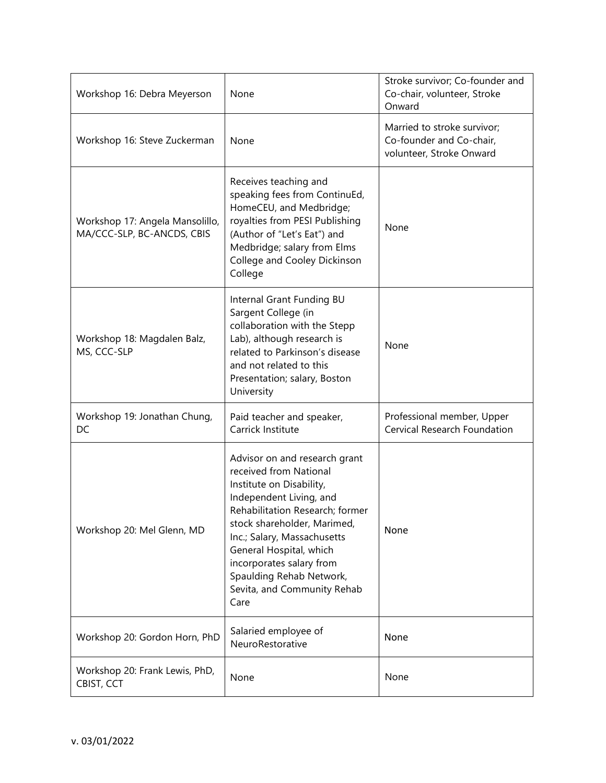| Workshop 16: Debra Meyerson                                   | None                                                                                                                                                                                                                                                                                                                                      | Stroke survivor; Co-founder and<br>Co-chair, volunteer, Stroke<br>Onward            |
|---------------------------------------------------------------|-------------------------------------------------------------------------------------------------------------------------------------------------------------------------------------------------------------------------------------------------------------------------------------------------------------------------------------------|-------------------------------------------------------------------------------------|
| Workshop 16: Steve Zuckerman                                  | None                                                                                                                                                                                                                                                                                                                                      | Married to stroke survivor;<br>Co-founder and Co-chair,<br>volunteer, Stroke Onward |
| Workshop 17: Angela Mansolillo,<br>MA/CCC-SLP, BC-ANCDS, CBIS | Receives teaching and<br>speaking fees from ContinuEd,<br>HomeCEU, and Medbridge;<br>royalties from PESI Publishing<br>(Author of "Let's Eat") and<br>Medbridge; salary from Elms<br>College and Cooley Dickinson<br>College                                                                                                              | None                                                                                |
| Workshop 18: Magdalen Balz,<br>MS, CCC-SLP                    | Internal Grant Funding BU<br>Sargent College (in<br>collaboration with the Stepp<br>Lab), although research is<br>related to Parkinson's disease<br>and not related to this<br>Presentation; salary, Boston<br>University                                                                                                                 | None                                                                                |
| Workshop 19: Jonathan Chung,<br>DC                            | Paid teacher and speaker,<br>Carrick Institute                                                                                                                                                                                                                                                                                            | Professional member, Upper<br>Cervical Research Foundation                          |
| Workshop 20: Mel Glenn, MD                                    | Advisor on and research grant<br>received from National<br>Institute on Disability,<br>Independent Living, and<br>Rehabilitation Research; former<br>stock shareholder, Marimed,<br>Inc.; Salary, Massachusetts<br>General Hospital, which<br>incorporates salary from<br>Spaulding Rehab Network,<br>Sevita, and Community Rehab<br>Care | None                                                                                |
| Workshop 20: Gordon Horn, PhD                                 | Salaried employee of<br>NeuroRestorative                                                                                                                                                                                                                                                                                                  | None                                                                                |
| Workshop 20: Frank Lewis, PhD,<br>CBIST, CCT                  | None                                                                                                                                                                                                                                                                                                                                      | None                                                                                |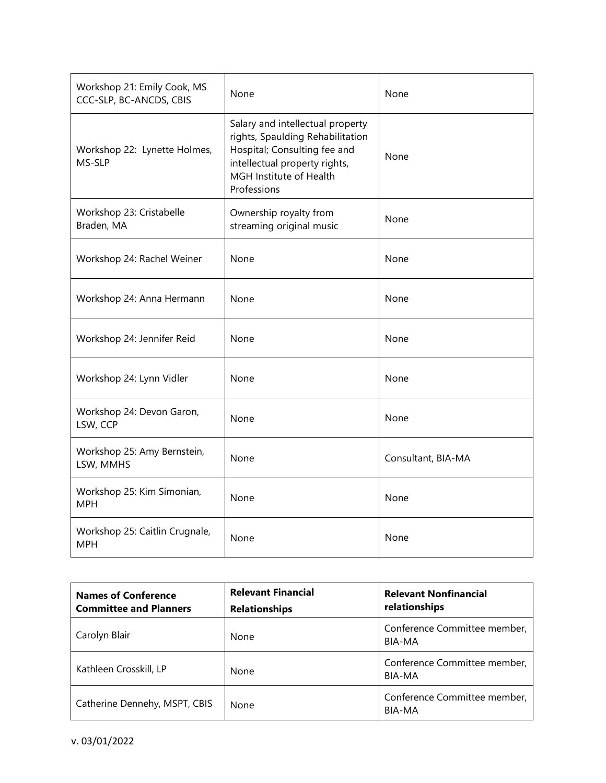| Workshop 21: Emily Cook, MS<br>CCC-SLP, BC-ANCDS, CBIS | None                                                                                                                                                                            | None               |
|--------------------------------------------------------|---------------------------------------------------------------------------------------------------------------------------------------------------------------------------------|--------------------|
| Workshop 22: Lynette Holmes,<br>MS-SLP                 | Salary and intellectual property<br>rights, Spaulding Rehabilitation<br>Hospital; Consulting fee and<br>intellectual property rights,<br>MGH Institute of Health<br>Professions | None               |
| Workshop 23: Cristabelle<br>Braden, MA                 | Ownership royalty from<br>streaming original music                                                                                                                              | None               |
| Workshop 24: Rachel Weiner                             | None                                                                                                                                                                            | None               |
| Workshop 24: Anna Hermann                              | None                                                                                                                                                                            | None               |
| Workshop 24: Jennifer Reid                             | None                                                                                                                                                                            | None               |
| Workshop 24: Lynn Vidler                               | None                                                                                                                                                                            | None               |
| Workshop 24: Devon Garon,<br>LSW, CCP                  | None                                                                                                                                                                            | None               |
| Workshop 25: Amy Bernstein,<br>LSW, MMHS               | None                                                                                                                                                                            | Consultant, BIA-MA |
| Workshop 25: Kim Simonian,<br><b>MPH</b>               | None                                                                                                                                                                            | None               |
| Workshop 25: Caitlin Crugnale,<br><b>MPH</b>           | None                                                                                                                                                                            | None               |

| <b>Names of Conference</b><br><b>Committee and Planners</b> | <b>Relevant Financial</b><br><b>Relationships</b> | <b>Relevant Nonfinancial</b><br>relationships |
|-------------------------------------------------------------|---------------------------------------------------|-----------------------------------------------|
| Carolyn Blair                                               | None                                              | Conference Committee member,<br>BIA-MA        |
| Kathleen Crosskill, LP                                      | None                                              | Conference Committee member,<br>BIA-MA        |
| Catherine Dennehy, MSPT, CBIS                               | None                                              | Conference Committee member,<br>BIA-MA        |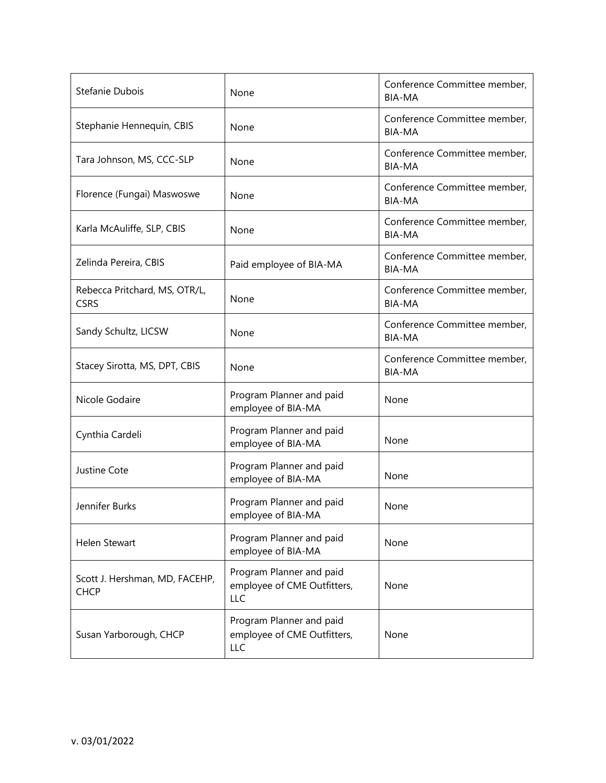| Stefanie Dubois                               | None                                                                  | Conference Committee member,<br><b>BIA-MA</b> |
|-----------------------------------------------|-----------------------------------------------------------------------|-----------------------------------------------|
| Stephanie Hennequin, CBIS                     | None                                                                  | Conference Committee member,<br><b>BIA-MA</b> |
| Tara Johnson, MS, CCC-SLP                     | None                                                                  | Conference Committee member,<br><b>BIA-MA</b> |
| Florence (Fungai) Maswoswe                    | None                                                                  | Conference Committee member,<br><b>BIA-MA</b> |
| Karla McAuliffe, SLP, CBIS                    | None                                                                  | Conference Committee member,<br><b>BIA-MA</b> |
| Zelinda Pereira, CBIS                         | Paid employee of BIA-MA                                               | Conference Committee member,<br><b>BIA-MA</b> |
| Rebecca Pritchard, MS, OTR/L,<br><b>CSRS</b>  | None                                                                  | Conference Committee member,<br><b>BIA-MA</b> |
| Sandy Schultz, LICSW                          | None                                                                  | Conference Committee member,<br><b>BIA-MA</b> |
| Stacey Sirotta, MS, DPT, CBIS                 | None                                                                  | Conference Committee member,<br><b>BIA-MA</b> |
| Nicole Godaire                                | Program Planner and paid<br>employee of BIA-MA                        | None                                          |
| Cynthia Cardeli                               | Program Planner and paid<br>employee of BIA-MA                        | None                                          |
| Justine Cote                                  | Program Planner and paid<br>employee of BIA-MA                        | None                                          |
| Jennifer Burks                                | Program Planner and paid<br>employee of BIA-MA                        | None                                          |
| Helen Stewart                                 | Program Planner and paid<br>employee of BIA-MA                        | None                                          |
| Scott J. Hershman, MD, FACEHP,<br><b>CHCP</b> | Program Planner and paid<br>employee of CME Outfitters,<br><b>LLC</b> | None                                          |
| Susan Yarborough, CHCP                        | Program Planner and paid<br>employee of CME Outfitters,<br>LLC        | None                                          |